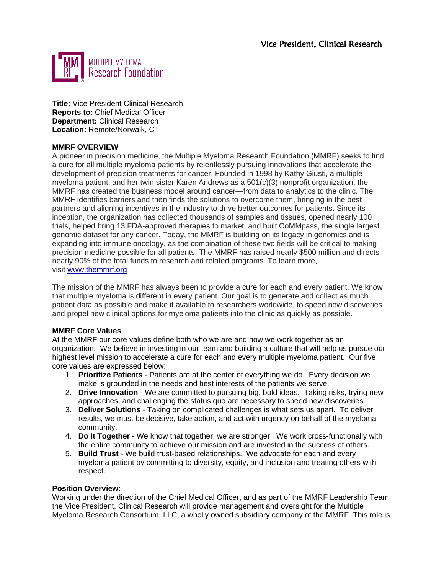

**Title:** Vice President Clinical Research **Reports to:** Chief Medical Officer **Department:** Clinical Research **Location:** Remote/Norwalk, CT

## **MMRF OVERVIEW**

A pioneer in precision medicine, the Multiple Myeloma Research Foundation (MMRF) seeks to find a cure for all multiple myeloma patients by relentlessly pursuing innovations that accelerate the development of precision treatments for cancer. Founded in 1998 by Kathy Giusti, a multiple myeloma patient, and her twin sister Karen Andrews as a 501(c)(3) nonprofit organization, the MMRF has created the business model around cancer—from data to analytics to the clinic. The MMRF identifies barriers and then finds the solutions to overcome them, bringing in the best partners and aligning incentives in the industry to drive better outcomes for patients. Since its inception, the organization has collected thousands of samples and tissues, opened nearly 100 trials, helped bring 13 FDA-approved therapies to market, and built CoMMpass, the single largest genomic dataset for any cancer. Today, the MMRF is building on its legacy in genomics and is expanding into immune oncology, as the combination of these two fields will be critical to making precision medicine possible for all patients. The MMRF has raised nearly \$500 million and directs nearly 90% of the total funds to research and related programs. To learn more, visit [www.themmrf.org](http://www.themmrf.org/)

The mission of the MMRF has always been to provide a cure for each and every patient. We know that multiple myeloma is different in every patient. Our goal is to generate and collect as much patient data as possible and make it available to researchers worldwide, to speed new discoveries and propel new clinical options for myeloma patients into the clinic as quickly as possible.

## **MMRF Core Values**

At the MMRF our core values define both who we are and how we work together as an organization. We believe in investing in our team and building a culture that will help us pursue our highest level mission to accelerate a cure for each and every multiple myeloma patient. Our five core values are expressed below:

- 1. **Prioritize Patients**  Patients are at the center of everything we do. Every decision we make is grounded in the needs and best interests of the patients we serve.
- 2. **Drive Innovation**  We are committed to pursuing big, bold ideas. Taking risks, trying new approaches, and challenging the status quo are necessary to speed new discoveries.
- 3. **Deliver Solutions**  Taking on complicated challenges is what sets us apart. To deliver results, we must be decisive, take action, and act with urgency on behalf of the myeloma community.
- 4. **Do It Together**  We know that together, we are stronger. We work cross-functionally with the entire community to achieve our mission and are invested in the success of others.
- 5. **Build Trust**  We build trust-based relationships. We advocate for each and every myeloma patient by committing to diversity, equity, and inclusion and treating others with respect.

## **Position Overview:**

Working under the direction of the Chief Medical Officer, and as part of the MMRF Leadership Team, the Vice President, Clinical Research will provide management and oversight for the Multiple Myeloma Research Consortium, LLC, a wholly owned subsidiary company of the MMRF. This role is